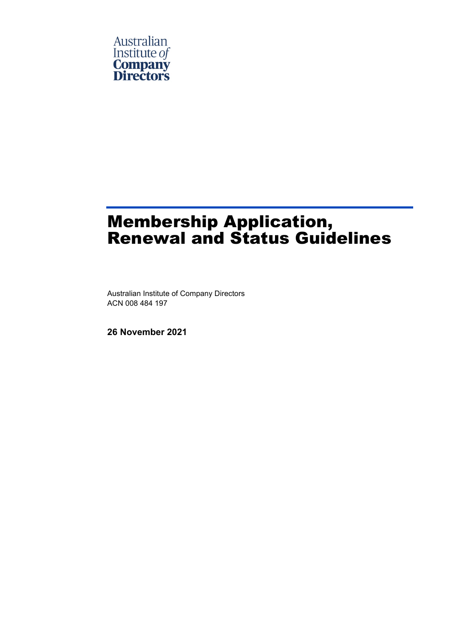

# Membership Application, Renewal and Status Guidelines

Australian Institute of Company Directors ACN 008 484 197

**26 November 2021**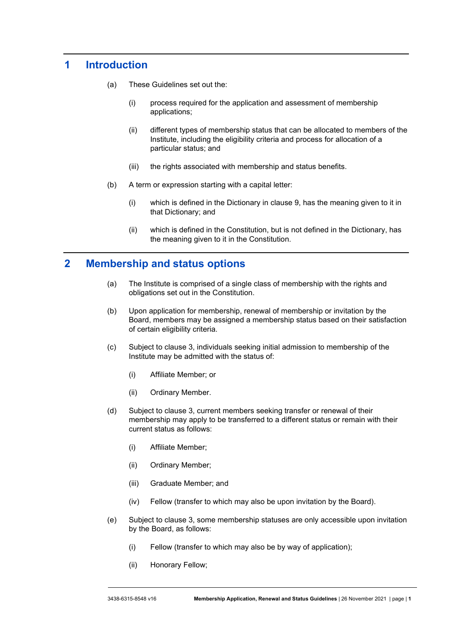# **1 Introduction**

- (a) These Guidelines set out the:
	- (i) process required for the application and assessment of membership applications;
	- (ii) different types of membership status that can be allocated to members of the Institute, including the eligibility criteria and process for allocation of a particular status; and
	- (iii) the rights associated with membership and status benefits.
- (b) A term or expression starting with a capital letter:
	- (i) which is defined in the Dictionary in clause [9,](#page-6-0) has the meaning given to it in that Dictionary; and
	- (ii) which is defined in the Constitution, but is not defined in the Dictionary, has the meaning given to it in the Constitution.

## **2 Membership and status options**

- (a) The Institute is comprised of a single class of membership with the rights and obligations set out in the Constitution.
- (b) Upon application for membership, renewal of membership or invitation by the Board, members may be assigned a membership status based on their satisfaction of certain eligibility criteria.
- (c) Subject to clause [3,](#page-2-0) individuals seeking initial admission to membership of the Institute may be admitted with the status of:
	- (i) Affiliate Member; or
	- (ii) Ordinary Member.
- (d) Subject to clause [3,](#page-2-0) current members seeking transfer or renewal of their membership may apply to be transferred to a different status or remain with their current status as follows:
	- (i) Affiliate Member;
	- (ii) Ordinary Member;
	- (iii) Graduate Member; and
	- (iv) Fellow (transfer to which may also be upon invitation by the Board).
- (e) Subject to clause [3,](#page-2-0) some membership statuses are only accessible upon invitation by the Board, as follows:
	- (i) Fellow (transfer to which may also be by way of application);
	- (ii) Honorary Fellow;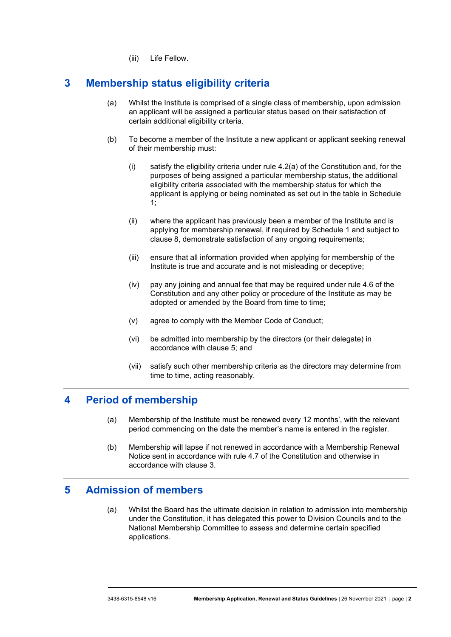(iii) Life Fellow.

# <span id="page-2-0"></span>**3 Membership status eligibility criteria**

- (a) Whilst the Institute is comprised of a single class of membership, upon admission an applicant will be assigned a particular status based on their satisfaction of certain additional eligibility criteria.
- (b) To become a member of the Institute a new applicant or applicant seeking renewal of their membership must:
	- (i) satisfy the eligibility criteria under rule 4.2(a) of the Constitution and, for the purposes of being assigned a particular membership status, the additional eligibility criteria associated with the membership status for which the applicant is applying or being nominated as set out in the table in [Schedule](#page-9-0)  [1;](#page-9-0)
	- (ii) where the applicant has previously been a member of the Institute and is applying for membership renewal, if required by [Schedule 1](#page-9-0) and subject to clause [8,](#page-4-0) demonstrate satisfaction of any ongoing requirements;
	- (iii) ensure that all information provided when applying for membership of the Institute is true and accurate and is not misleading or deceptive;
	- (iv) pay any joining and annual fee that may be required under rule 4.6 of the Constitution and any other policy or procedure of the Institute as may be adopted or amended by the Board from time to time;
	- (v) agree to comply with the Member Code of Conduct;
	- (vi) be admitted into membership by the directors (or their delegate) in accordance with clause [5;](#page-2-1) and
	- (vii) satisfy such other membership criteria as the directors may determine from time to time, acting reasonably.

## **4 Period of membership**

- (a) Membership of the Institute must be renewed every 12 months', with the relevant period commencing on the date the member's name is entered in the register.
- (b) Membership will lapse if not renewed in accordance with a Membership Renewal Notice sent in accordance with rule 4.7 of the Constitution and otherwise in accordance with clause [3.](#page-2-0)

# <span id="page-2-1"></span>**5 Admission of members**

(a) Whilst the Board has the ultimate decision in relation to admission into membership under the Constitution, it has delegated this power to Division Councils and to the National Membership Committee to assess and determine certain specified applications.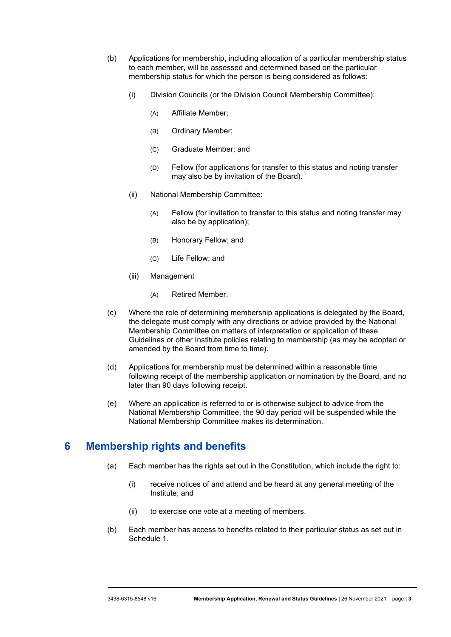- (b) Applications for membership, including allocation of a particular membership status to each member, will be assessed and determined based on the particular membership status for which the person is being considered as follows:
	- (i) Division Councils (or the Division Council Membership Committee):
		- (A) Affiliate Member;
		- (B) Ordinary Member;
		- (C) Graduate Member; and
		- (D) Fellow (for applications for transfer to this status and noting transfer may also be by invitation of the Board).
	- (ii) National Membership Committee:
		- (A) Fellow (for invitation to transfer to this status and noting transfer may also be by application);
		- (B) Honorary Fellow; and
		- (C) Life Fellow; and
	- (iii) Management
		- (A) Retired Member.
- (c) Where the role of determining membership applications is delegated by the Board, the delegate must comply with any directions or advice provided by the National Membership Committee on matters of interpretation or application of these Guidelines or other Institute policies relating to membership (as may be adopted or amended by the Board from time to time).
- <span id="page-3-0"></span>(d) Applications for membership must be determined within a reasonable time following receipt of the membership application or nomination by the Board, and no later than 90 days following receipt.
- (e) Where an application is referred to or is otherwise subject to advice from the National Membership Committee, the 90 day period will be suspended while the National Membership Committee makes its determination.

# <span id="page-3-1"></span>**6 Membership rights and benefits**

- (a) Each member has the rights set out in the Constitution, which include the right to:
	- (i) receive notices of and attend and be heard at any general meeting of the Institute; and
	- (ii) to exercise one vote at a meeting of members.
- (b) Each member has access to benefits related to their particular status as set out in [Schedule 1.](#page-9-0)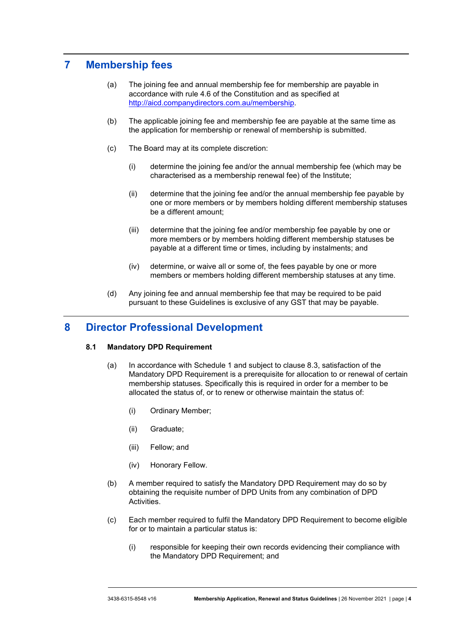# **7 Membership fees**

- (a) The joining fee and annual membership fee for membership are payable in accordance with rule 4.6 of the Constitution and as specified at [http://aicd.companydirectors.com.au/membership.](http://aicd.companydirectors.com.au/membership)
- <span id="page-4-1"></span>(b) The applicable joining fee and membership fee are payable at the same time as the application for membership or renewal of membership is submitted.
- (c) The Board may at its complete discretion:
	- (i) determine the joining fee and/or the annual membership fee (which may be characterised as a membership renewal fee) of the Institute;
	- (ii) determine that the joining fee and/or the annual membership fee payable by one or more members or by members holding different membership statuses be a different amount;
	- (iii) determine that the joining fee and/or membership fee payable by one or more members or by members holding different membership statuses be payable at a different time or times, including by instalments; and
	- (iv) determine, or waive all or some of, the fees payable by one or more members or members holding different membership statuses at any time.
- (d) Any joining fee and annual membership fee that may be required to be paid pursuant to these Guidelines is exclusive of any GST that may be payable.

## <span id="page-4-0"></span>**8 Director Professional Development**

#### **8.1 Mandatory DPD Requirement**

- (a) In accordance with [Schedule 1](#page-9-0) and subject to clause [8.3,](#page-5-0) satisfaction of the Mandatory DPD Requirement is a prerequisite for allocation to or renewal of certain membership statuses. Specifically this is required in order for a member to be allocated the status of, or to renew or otherwise maintain the status of:
	- (i) Ordinary Member;
	- (ii) Graduate;
	- (iii) Fellow; and
	- (iv) Honorary Fellow.
- (b) A member required to satisfy the Mandatory DPD Requirement may do so by obtaining the requisite number of DPD Units from any combination of DPD Activities.
- (c) Each member required to fulfil the Mandatory DPD Requirement to become eligible for or to maintain a particular status is:
	- (i) responsible for keeping their own records evidencing their compliance with the Mandatory DPD Requirement; and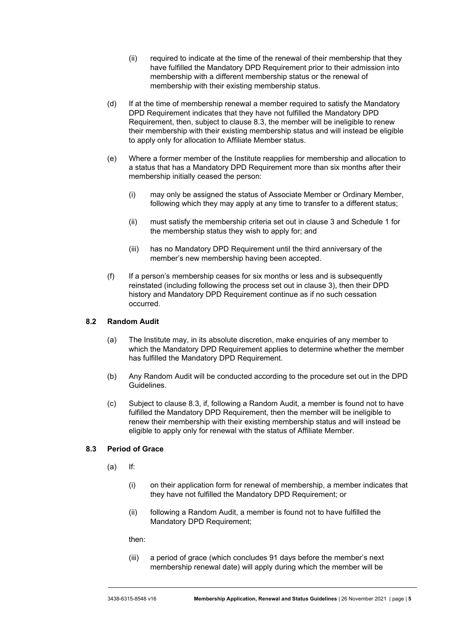- (ii) required to indicate at the time of the renewal of their membership that they have fulfilled the Mandatory DPD Requirement prior to their admission into membership with a different membership status or the renewal of membership with their existing membership status.
- (d) If at the time of membership renewal a member required to satisfy the Mandatory DPD Requirement indicates that they have not fulfilled the Mandatory DPD Requirement, then, subject to clause [8.3,](#page-5-0) the member will be ineligible to renew their membership with their existing membership status and will instead be eligible to apply only for allocation to Affiliate Member status.
- (e) Where a former member of the Institute reapplies for membership and allocation to a status that has a Mandatory DPD Requirement more than six months after their membership initially ceased the person:
	- (i) may only be assigned the status of Associate Member or Ordinary Member, following which they may apply at any time to transfer to a different status;
	- (ii) must satisfy the membership criteria set out in clause [3](#page-2-0) and [Schedule 1](#page-9-0) for the membership status they wish to apply for; and
	- (iii) has no Mandatory DPD Requirement until the third anniversary of the member's new membership having been accepted.
- (f) If a person's membership ceases for six months or less and is subsequently reinstated (including following the process set out in clause [3\)](#page-2-0), then their DPD history and Mandatory DPD Requirement continue as if no such cessation occurred.

#### <span id="page-5-2"></span>**8.2 Random Audit**

- (a) The Institute may, in its absolute discretion, make enquiries of any member to which the Mandatory DPD Requirement applies to determine whether the member has fulfilled the Mandatory DPD Requirement.
- (b) Any Random Audit will be conducted according to the procedure set out in the DPD Guidelines.
- (c) Subject to clause [8.3,](#page-5-0) if, following a Random Audit, a member is found not to have fulfilled the Mandatory DPD Requirement, then the member will be ineligible to renew their membership with their existing membership status and will instead be eligible to apply only for renewal with the status of Affiliate Member.

#### <span id="page-5-1"></span><span id="page-5-0"></span>**8.3 Period of Grace**

- (a) If:
	- (i) on their application form for renewal of membership, a member indicates that they have not fulfilled the Mandatory DPD Requirement; or
	- (ii) following a Random Audit, a member is found not to have fulfilled the Mandatory DPD Requirement;

then:

(iii) a period of grace (which concludes 91 days before the member's next membership renewal date) will apply during which the member will be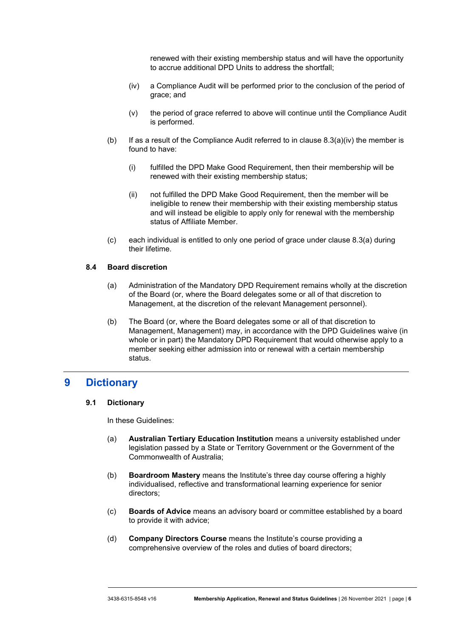renewed with their existing membership status and will have the opportunity to accrue additional DPD Units to address the shortfall;

- <span id="page-6-1"></span>(iv) a Compliance Audit will be performed prior to the conclusion of the period of grace; and
- (v) the period of grace referred to above will continue until the Compliance Audit is performed.
- (b) If as a result of the Compliance Audit referred to in clause  $8.3(a)(iv)$  the member is found to have:
	- (i) fulfilled the DPD Make Good Requirement, then their membership will be renewed with their existing membership status;
	- (ii) not fulfilled the DPD Make Good Requirement, then the member will be ineligible to renew their membership with their existing membership status and will instead be eligible to apply only for renewal with the membership status of Affiliate Member.
- (c) each individual is entitled to only one period of grace under clause [8.3\(a\)](#page-5-1) during their lifetime.

#### **8.4 Board discretion**

- (a) Administration of the Mandatory DPD Requirement remains wholly at the discretion of the Board (or, where the Board delegates some or all of that discretion to Management, at the discretion of the relevant Management personnel).
- (b) The Board (or, where the Board delegates some or all of that discretion to Management, Management) may, in accordance with the DPD Guidelines waive (in whole or in part) the Mandatory DPD Requirement that would otherwise apply to a member seeking either admission into or renewal with a certain membership status.

### <span id="page-6-0"></span>**9 Dictionary**

#### **9.1 Dictionary**

In these Guidelines:

- (a) **Australian Tertiary Education Institution** means a university established under legislation passed by a State or Territory Government or the Government of the Commonwealth of Australia;
- (b) **Boardroom Mastery** means the Institute's three day course offering a highly individualised, reflective and transformational learning experience for senior directors;
- (c) **Boards of Advice** means an advisory board or committee established by a board to provide it with advice;
- (d) **Company Directors Course** means the Institute's course providing a comprehensive overview of the roles and duties of board directors;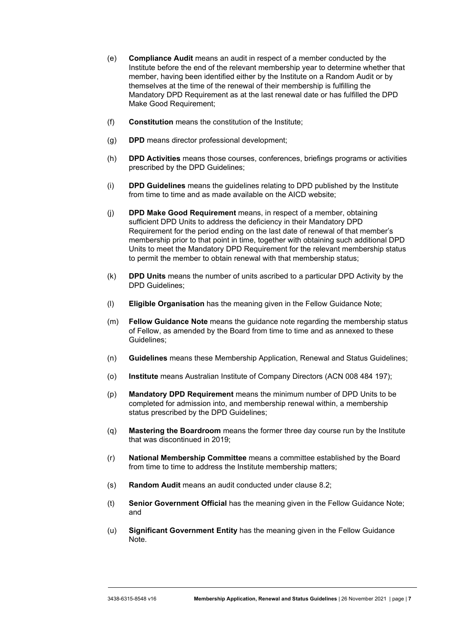- (e) **Compliance Audit** means an audit in respect of a member conducted by the Institute before the end of the relevant membership year to determine whether that member, having been identified either by the Institute on a Random Audit or by themselves at the time of the renewal of their membership is fulfilling the Mandatory DPD Requirement as at the last renewal date or has fulfilled the DPD Make Good Requirement;
- (f) **Constitution** means the constitution of the Institute;
- (g) **DPD** means director professional development;
- (h) **DPD Activities** means those courses, conferences, briefings programs or activities prescribed by the DPD Guidelines;
- (i) **DPD Guidelines** means the guidelines relating to DPD published by the Institute from time to time and as made available on the AICD website;
- (j) **DPD Make Good Requirement** means, in respect of a member, obtaining sufficient DPD Units to address the deficiency in their Mandatory DPD Requirement for the period ending on the last date of renewal of that member's membership prior to that point in time, together with obtaining such additional DPD Units to meet the Mandatory DPD Requirement for the relevant membership status to permit the member to obtain renewal with that membership status;
- (k) **DPD Units** means the number of units ascribed to a particular DPD Activity by the DPD Guidelines;
- (l) **Eligible Organisation** has the meaning given in the Fellow Guidance Note;
- (m) **Fellow Guidance Note** means the guidance note regarding the membership status of Fellow, as amended by the Board from time to time and as annexed to these Guidelines;
- (n) **Guidelines** means these Membership Application, Renewal and Status Guidelines;
- (o) **Institute** means Australian Institute of Company Directors (ACN 008 484 197);
- (p) **Mandatory DPD Requirement** means the minimum number of DPD Units to be completed for admission into, and membership renewal within, a membership status prescribed by the DPD Guidelines;
- (q) **Mastering the Boardroom** means the former three day course run by the Institute that was discontinued in 2019;
- (r) **National Membership Committee** means a committee established by the Board from time to time to address the Institute membership matters;
- (s) **Random Audit** means an audit conducted under clause [8.2;](#page-5-2)
- (t) **Senior Government Official** has the meaning given in the Fellow Guidance Note; and
- (u) **Significant Government Entity** has the meaning given in the Fellow Guidance Note.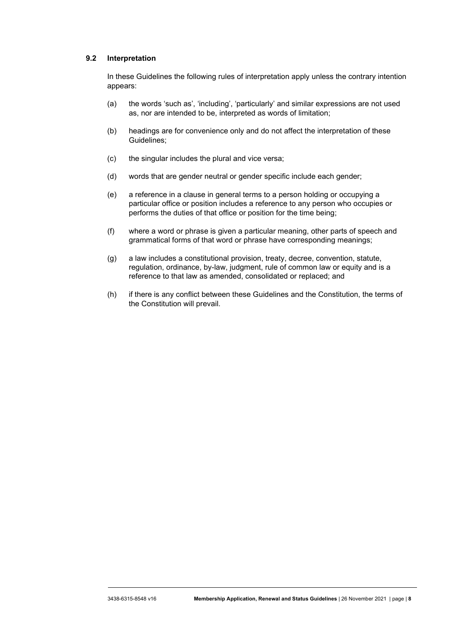#### **9.2 Interpretation**

In these Guidelines the following rules of interpretation apply unless the contrary intention appears:

- (a) the words 'such as', 'including', 'particularly' and similar expressions are not used as, nor are intended to be, interpreted as words of limitation;
- (b) headings are for convenience only and do not affect the interpretation of these Guidelines;
- (c) the singular includes the plural and vice versa;
- (d) words that are gender neutral or gender specific include each gender;
- (e) a reference in a clause in general terms to a person holding or occupying a particular office or position includes a reference to any person who occupies or performs the duties of that office or position for the time being;
- (f) where a word or phrase is given a particular meaning, other parts of speech and grammatical forms of that word or phrase have corresponding meanings;
- (g) a law includes a constitutional provision, treaty, decree, convention, statute, regulation, ordinance, by-law, judgment, rule of common law or equity and is a reference to that law as amended, consolidated or replaced; and
- (h) if there is any conflict between these Guidelines and the Constitution, the terms of the Constitution will prevail.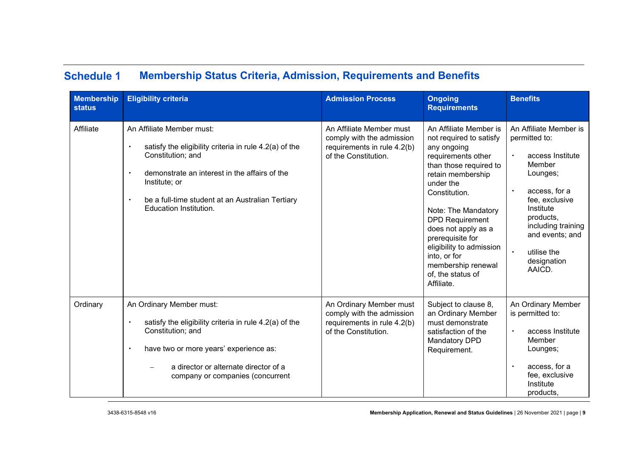#### **Schedule 1 Membership Status Criteria, Admission, Requirements and Benefits**

<span id="page-9-0"></span>

| <b>Membership</b><br><b>status</b> | <b>Eligibility criteria</b>                                                                                                                                                                                                                                                  | <b>Admission Process</b>                                                                                     | <b>Ongoing</b><br><b>Requirements</b>                                                                                                                                                                                                                                                                                                                                | <b>Benefits</b>                                                                                                                                                                                                                                                        |
|------------------------------------|------------------------------------------------------------------------------------------------------------------------------------------------------------------------------------------------------------------------------------------------------------------------------|--------------------------------------------------------------------------------------------------------------|----------------------------------------------------------------------------------------------------------------------------------------------------------------------------------------------------------------------------------------------------------------------------------------------------------------------------------------------------------------------|------------------------------------------------------------------------------------------------------------------------------------------------------------------------------------------------------------------------------------------------------------------------|
| Affiliate                          | An Affiliate Member must:<br>satisfy the eligibility criteria in rule 4.2(a) of the<br>Constitution; and<br>demonstrate an interest in the affairs of the<br>Institute; or<br>be a full-time student at an Australian Tertiary<br>$\bullet$<br><b>Education Institution.</b> | An Affiliate Member must<br>comply with the admission<br>requirements in rule 4.2(b)<br>of the Constitution. | An Affiliate Member is<br>not required to satisfy<br>any ongoing<br>requirements other<br>than those required to<br>retain membership<br>under the<br>Constitution.<br>Note: The Mandatory<br><b>DPD Requirement</b><br>does not apply as a<br>prerequisite for<br>eligibility to admission<br>into, or for<br>membership renewal<br>of, the status of<br>Affiliate. | An Affiliate Member is<br>permitted to:<br>access Institute<br>$\bullet$<br>Member<br>Lounges;<br>access, for a<br>$\bullet$<br>fee, exclusive<br>Institute<br>products,<br>including training<br>and events; and<br>utilise the<br>$\bullet$<br>designation<br>AAICD. |
| Ordinary                           | An Ordinary Member must:<br>satisfy the eligibility criteria in rule 4.2(a) of the<br>Constitution; and<br>have two or more years' experience as:<br>$\bullet$<br>a director or alternate director of a<br>company or companies (concurrent                                  | An Ordinary Member must<br>comply with the admission<br>requirements in rule 4.2(b)<br>of the Constitution.  | Subject to clause 8,<br>an Ordinary Member<br>must demonstrate<br>satisfaction of the<br>Mandatory DPD<br>Requirement.                                                                                                                                                                                                                                               | An Ordinary Member<br>is permitted to:<br>access Institute<br>$\bullet$<br>Member<br>Lounges;<br>access, for a<br>fee, exclusive<br>Institute<br>products,                                                                                                             |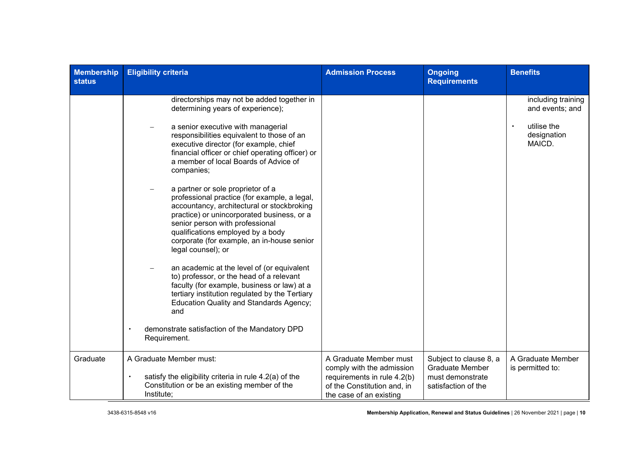| <b>Membership</b><br><b>status</b> | <b>Eligibility criteria</b>                                                                                                                                                                                                                                                                                                                                                                                                                                                                                                                                                                                                                                                                                                                                                                                                                                                                                                                                                | <b>Admission Process</b>                                                                                                                     | <b>Ongoing</b><br><b>Requirements</b>                                                       | <b>Benefits</b>                                                               |
|------------------------------------|----------------------------------------------------------------------------------------------------------------------------------------------------------------------------------------------------------------------------------------------------------------------------------------------------------------------------------------------------------------------------------------------------------------------------------------------------------------------------------------------------------------------------------------------------------------------------------------------------------------------------------------------------------------------------------------------------------------------------------------------------------------------------------------------------------------------------------------------------------------------------------------------------------------------------------------------------------------------------|----------------------------------------------------------------------------------------------------------------------------------------------|---------------------------------------------------------------------------------------------|-------------------------------------------------------------------------------|
|                                    | directorships may not be added together in<br>determining years of experience);<br>a senior executive with managerial<br>responsibilities equivalent to those of an<br>executive director (for example, chief<br>financial officer or chief operating officer) or<br>a member of local Boards of Advice of<br>companies;<br>a partner or sole proprietor of a<br>professional practice (for example, a legal,<br>accountancy, architectural or stockbroking<br>practice) or unincorporated business, or a<br>senior person with professional<br>qualifications employed by a body<br>corporate (for example, an in-house senior<br>legal counsel); or<br>an academic at the level of (or equivalent<br>to) professor, or the head of a relevant<br>faculty (for example, business or law) at a<br>tertiary institution regulated by the Tertiary<br><b>Education Quality and Standards Agency;</b><br>and<br>demonstrate satisfaction of the Mandatory DPD<br>Requirement. |                                                                                                                                              |                                                                                             | including training<br>and events; and<br>utilise the<br>designation<br>MAICD. |
| Graduate                           | A Graduate Member must:<br>satisfy the eligibility criteria in rule 4.2(a) of the<br>Constitution or be an existing member of the<br>Institute;                                                                                                                                                                                                                                                                                                                                                                                                                                                                                                                                                                                                                                                                                                                                                                                                                            | A Graduate Member must<br>comply with the admission<br>requirements in rule 4.2(b)<br>of the Constitution and, in<br>the case of an existing | Subject to clause 8, a<br><b>Graduate Member</b><br>must demonstrate<br>satisfaction of the | A Graduate Member<br>is permitted to:                                         |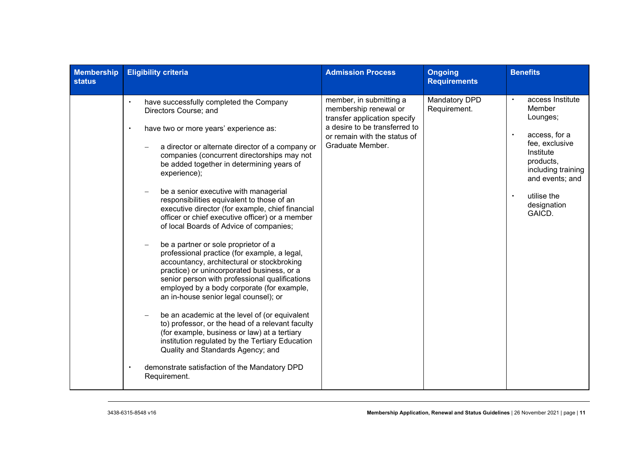| <b>Membership</b><br><b>status</b> | <b>Eligibility criteria</b>                                                                                                                                                                                                                                                                                                                                                                                                                                                                                                                                                                                                                                                                                                                                                                                                                                                                                                                                                                                                                                                                                                                                                              | <b>Admission Process</b>                                                                                                                                              | <b>Ongoing</b><br><b>Requirements</b> | <b>Benefits</b>                                                                                                                                                                                                             |
|------------------------------------|------------------------------------------------------------------------------------------------------------------------------------------------------------------------------------------------------------------------------------------------------------------------------------------------------------------------------------------------------------------------------------------------------------------------------------------------------------------------------------------------------------------------------------------------------------------------------------------------------------------------------------------------------------------------------------------------------------------------------------------------------------------------------------------------------------------------------------------------------------------------------------------------------------------------------------------------------------------------------------------------------------------------------------------------------------------------------------------------------------------------------------------------------------------------------------------|-----------------------------------------------------------------------------------------------------------------------------------------------------------------------|---------------------------------------|-----------------------------------------------------------------------------------------------------------------------------------------------------------------------------------------------------------------------------|
|                                    | have successfully completed the Company<br>$\bullet$<br>Directors Course; and<br>have two or more years' experience as:<br>$\bullet$<br>a director or alternate director of a company or<br>companies (concurrent directorships may not<br>be added together in determining years of<br>experience);<br>be a senior executive with managerial<br>responsibilities equivalent to those of an<br>executive director (for example, chief financial<br>officer or chief executive officer) or a member<br>of local Boards of Advice of companies;<br>be a partner or sole proprietor of a<br>professional practice (for example, a legal,<br>accountancy, architectural or stockbroking<br>practice) or unincorporated business, or a<br>senior person with professional qualifications<br>employed by a body corporate (for example,<br>an in-house senior legal counsel); or<br>be an academic at the level of (or equivalent<br>to) professor, or the head of a relevant faculty<br>(for example, business or law) at a tertiary<br>institution regulated by the Tertiary Education<br>Quality and Standards Agency; and<br>demonstrate satisfaction of the Mandatory DPD<br>Requirement. | member, in submitting a<br>membership renewal or<br>transfer application specify<br>a desire to be transferred to<br>or remain with the status of<br>Graduate Member. | <b>Mandatory DPD</b><br>Requirement.  | access Institute<br>$\bullet$<br>Member<br>Lounges;<br>access, for a<br>$\bullet$<br>fee, exclusive<br>Institute<br>products,<br>including training<br>and events; and<br>utilise the<br>$\bullet$<br>designation<br>GAICD. |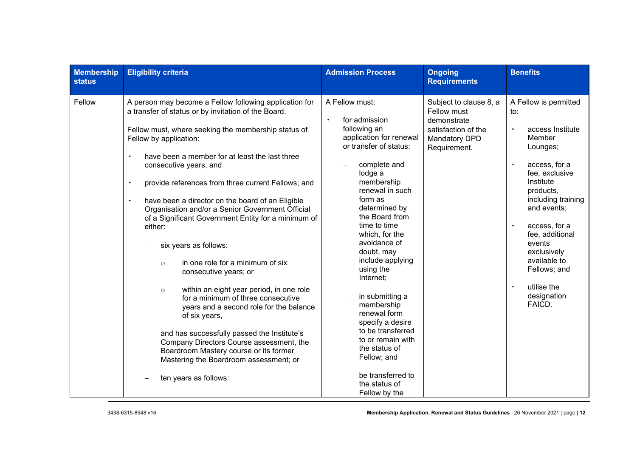| <b>Membership</b><br><b>status</b> | <b>Eligibility criteria</b>                                                                                                                                                                                                                                                                                                                                                                                                                                                                                                                                                                                                                                                                                                                                                                                                                                                                                                                                                               | <b>Admission Process</b>                                                                                                                                                                                                                                                                                                                                                                                                                                                                                                                        | <b>Ongoing</b><br><b>Requirements</b>                                                                        | <b>Benefits</b>                                                                                                                                                                                                                                                                                                                                                   |
|------------------------------------|-------------------------------------------------------------------------------------------------------------------------------------------------------------------------------------------------------------------------------------------------------------------------------------------------------------------------------------------------------------------------------------------------------------------------------------------------------------------------------------------------------------------------------------------------------------------------------------------------------------------------------------------------------------------------------------------------------------------------------------------------------------------------------------------------------------------------------------------------------------------------------------------------------------------------------------------------------------------------------------------|-------------------------------------------------------------------------------------------------------------------------------------------------------------------------------------------------------------------------------------------------------------------------------------------------------------------------------------------------------------------------------------------------------------------------------------------------------------------------------------------------------------------------------------------------|--------------------------------------------------------------------------------------------------------------|-------------------------------------------------------------------------------------------------------------------------------------------------------------------------------------------------------------------------------------------------------------------------------------------------------------------------------------------------------------------|
| Fellow                             | A person may become a Fellow following application for<br>a transfer of status or by invitation of the Board.<br>Fellow must, where seeking the membership status of<br>Fellow by application:<br>have been a member for at least the last three<br>consecutive years; and<br>provide references from three current Fellows; and<br>$\bullet$<br>have been a director on the board of an Eligible<br>Organisation and/or a Senior Government Official<br>of a Significant Government Entity for a minimum of<br>either:<br>six years as follows:<br>in one role for a minimum of six<br>$\circ$<br>consecutive years; or<br>within an eight year period, in one role<br>$\circ$<br>for a minimum of three consecutive<br>years and a second role for the balance<br>of six years,<br>and has successfully passed the Institute's<br>Company Directors Course assessment, the<br>Boardroom Mastery course or its former<br>Mastering the Boardroom assessment; or<br>ten years as follows: | A Fellow must:<br>for admission<br>$\bullet$<br>following an<br>application for renewal<br>or transfer of status:<br>complete and<br>lodge a<br>membership<br>renewal in such<br>form as<br>determined by<br>the Board from<br>time to time<br>which, for the<br>avoidance of<br>doubt, may<br>include applying<br>using the<br>Internet;<br>in submitting a<br>membership<br>renewal form<br>specify a desire<br>to be transferred<br>to or remain with<br>the status of<br>Fellow; and<br>be transferred to<br>the status of<br>Fellow by the | Subject to clause 8, a<br>Fellow must<br>demonstrate<br>satisfaction of the<br>Mandatory DPD<br>Requirement. | A Fellow is permitted<br>to:<br>access Institute<br>$\bullet$<br>Member<br>Lounges;<br>$\bullet$<br>access, for a<br>fee, exclusive<br>Institute<br>products,<br>including training<br>and events;<br>access, for a<br>$\bullet$<br>fee, additional<br>events<br>exclusively<br>available to<br>Fellows; and<br>utilise the<br>$\bullet$<br>designation<br>FAICD. |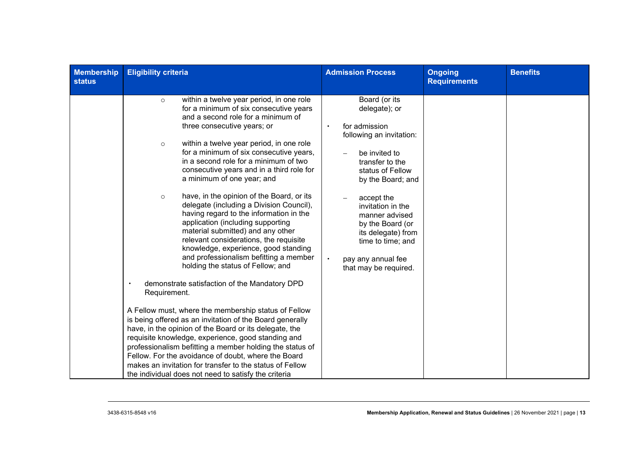| <b>Membership</b><br><b>status</b> | <b>Eligibility criteria</b>                                                                                                                                                                                                                                                                                                                                                                                                                                                                                                                                                                                                                                                                                                                                                                                                                                                                                                                                             | <b>Admission Process</b>                                                                                                                                                                                                                                                                                                                 | Ongoing<br><b>Requirements</b> | <b>Benefits</b> |
|------------------------------------|-------------------------------------------------------------------------------------------------------------------------------------------------------------------------------------------------------------------------------------------------------------------------------------------------------------------------------------------------------------------------------------------------------------------------------------------------------------------------------------------------------------------------------------------------------------------------------------------------------------------------------------------------------------------------------------------------------------------------------------------------------------------------------------------------------------------------------------------------------------------------------------------------------------------------------------------------------------------------|------------------------------------------------------------------------------------------------------------------------------------------------------------------------------------------------------------------------------------------------------------------------------------------------------------------------------------------|--------------------------------|-----------------|
|                                    | within a twelve year period, in one role<br>$\circ$<br>for a minimum of six consecutive years<br>and a second role for a minimum of<br>three consecutive years; or<br>within a twelve year period, in one role<br>$\circ$<br>for a minimum of six consecutive years,<br>in a second role for a minimum of two<br>consecutive years and in a third role for<br>a minimum of one year; and<br>have, in the opinion of the Board, or its<br>$\circ$<br>delegate (including a Division Council),<br>having regard to the information in the<br>application (including supporting<br>material submitted) and any other<br>relevant considerations, the requisite<br>knowledge, experience, good standing<br>and professionalism befitting a member<br>holding the status of Fellow; and<br>demonstrate satisfaction of the Mandatory DPD<br>Requirement.<br>A Fellow must, where the membership status of Fellow<br>is being offered as an invitation of the Board generally | Board (or its<br>delegate); or<br>for admission<br>following an invitation:<br>be invited to<br>transfer to the<br>status of Fellow<br>by the Board; and<br>accept the<br>invitation in the<br>manner advised<br>by the Board (or<br>its delegate) from<br>time to time; and<br>$\bullet$<br>pay any annual fee<br>that may be required. |                                |                 |
|                                    | have, in the opinion of the Board or its delegate, the<br>requisite knowledge, experience, good standing and<br>professionalism befitting a member holding the status of<br>Fellow. For the avoidance of doubt, where the Board<br>makes an invitation for transfer to the status of Fellow                                                                                                                                                                                                                                                                                                                                                                                                                                                                                                                                                                                                                                                                             |                                                                                                                                                                                                                                                                                                                                          |                                |                 |
|                                    | the individual does not need to satisfy the criteria                                                                                                                                                                                                                                                                                                                                                                                                                                                                                                                                                                                                                                                                                                                                                                                                                                                                                                                    |                                                                                                                                                                                                                                                                                                                                          |                                |                 |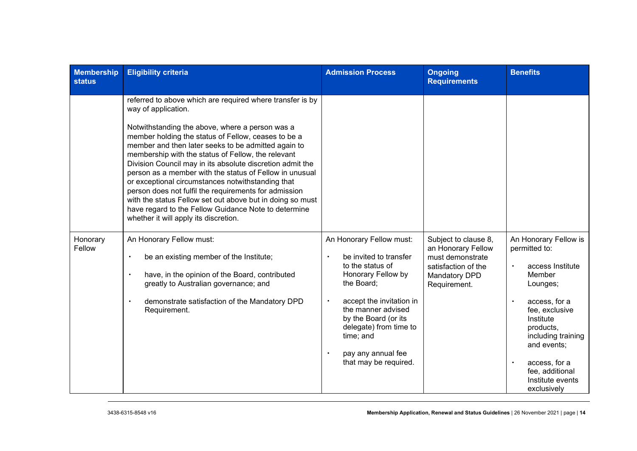| <b>Membership</b><br><b>status</b> | <b>Eligibility criteria</b>                                                                                                                                                                                                                                                                                                                                                                                                                                                                                                                                                                                                                                                                                 | <b>Admission Process</b>                                                                                                                                                                                                                                                                | <b>Ongoing</b><br><b>Requirements</b>                                                                                  | <b>Benefits</b>                                                                                                                                                                                                                                                        |
|------------------------------------|-------------------------------------------------------------------------------------------------------------------------------------------------------------------------------------------------------------------------------------------------------------------------------------------------------------------------------------------------------------------------------------------------------------------------------------------------------------------------------------------------------------------------------------------------------------------------------------------------------------------------------------------------------------------------------------------------------------|-----------------------------------------------------------------------------------------------------------------------------------------------------------------------------------------------------------------------------------------------------------------------------------------|------------------------------------------------------------------------------------------------------------------------|------------------------------------------------------------------------------------------------------------------------------------------------------------------------------------------------------------------------------------------------------------------------|
|                                    | referred to above which are required where transfer is by<br>way of application.<br>Notwithstanding the above, where a person was a<br>member holding the status of Fellow, ceases to be a<br>member and then later seeks to be admitted again to<br>membership with the status of Fellow, the relevant<br>Division Council may in its absolute discretion admit the<br>person as a member with the status of Fellow in unusual<br>or exceptional circumstances notwithstanding that<br>person does not fulfil the requirements for admission<br>with the status Fellow set out above but in doing so must<br>have regard to the Fellow Guidance Note to determine<br>whether it will apply its discretion. |                                                                                                                                                                                                                                                                                         |                                                                                                                        |                                                                                                                                                                                                                                                                        |
| Honorary<br>Fellow                 | An Honorary Fellow must:<br>be an existing member of the Institute;<br>$\bullet$<br>have, in the opinion of the Board, contributed<br>$\bullet$<br>greatly to Australian governance; and<br>demonstrate satisfaction of the Mandatory DPD<br>$\bullet$<br>Requirement.                                                                                                                                                                                                                                                                                                                                                                                                                                      | An Honorary Fellow must:<br>be invited to transfer<br>to the status of<br>Honorary Fellow by<br>the Board;<br>accept the invitation in<br>$\bullet$<br>the manner advised<br>by the Board (or its<br>delegate) from time to<br>time; and<br>pay any annual fee<br>that may be required. | Subject to clause 8,<br>an Honorary Fellow<br>must demonstrate<br>satisfaction of the<br>Mandatory DPD<br>Requirement. | An Honorary Fellow is<br>permitted to:<br>access Institute<br>$\bullet$<br>Member<br>Lounges;<br>access, for a<br>fee, exclusive<br>Institute<br>products,<br>including training<br>and events;<br>access, for a<br>fee, additional<br>Institute events<br>exclusively |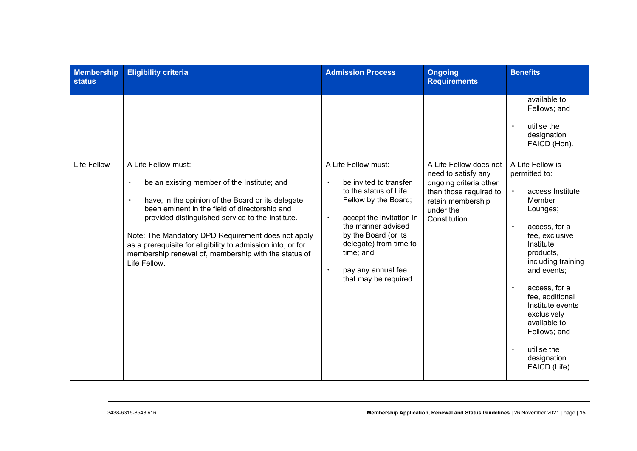| <b>Membership</b><br><b>status</b> | <b>Eligibility criteria</b>                                                                                                                                                                                                                                                                                                                                                                                      | <b>Admission Process</b>                                                                                                                                                                                                                                                       | <b>Ongoing</b><br><b>Requirements</b>                                                                                      | <b>Benefits</b>                                                                                                                                                                                                                                                                                                                                        |
|------------------------------------|------------------------------------------------------------------------------------------------------------------------------------------------------------------------------------------------------------------------------------------------------------------------------------------------------------------------------------------------------------------------------------------------------------------|--------------------------------------------------------------------------------------------------------------------------------------------------------------------------------------------------------------------------------------------------------------------------------|----------------------------------------------------------------------------------------------------------------------------|--------------------------------------------------------------------------------------------------------------------------------------------------------------------------------------------------------------------------------------------------------------------------------------------------------------------------------------------------------|
| <b>Life Fellow</b>                 | A Life Fellow must:                                                                                                                                                                                                                                                                                                                                                                                              | A Life Fellow must:                                                                                                                                                                                                                                                            | A Life Fellow does not                                                                                                     | available to<br>Fellows; and<br>utilise the<br>$\bullet$<br>designation<br>FAICD (Hon).<br>A Life Fellow is                                                                                                                                                                                                                                            |
|                                    | be an existing member of the Institute; and<br>$\bullet$<br>have, in the opinion of the Board or its delegate,<br>been eminent in the field of directorship and<br>provided distinguished service to the Institute.<br>Note: The Mandatory DPD Requirement does not apply<br>as a prerequisite for eligibility to admission into, or for<br>membership renewal of, membership with the status of<br>Life Fellow. | be invited to transfer<br>$\bullet$<br>to the status of Life<br>Fellow by the Board;<br>accept the invitation in<br>$\bullet$<br>the manner advised<br>by the Board (or its<br>delegate) from time to<br>time; and<br>pay any annual fee<br>$\bullet$<br>that may be required. | need to satisfy any<br>ongoing criteria other<br>than those required to<br>retain membership<br>under the<br>Constitution. | permitted to:<br>access Institute<br>$\bullet$<br>Member<br>Lounges;<br>access, for a<br>$\bullet$<br>fee, exclusive<br>Institute<br>products,<br>including training<br>and events;<br>access, for a<br>fee, additional<br>Institute events<br>exclusively<br>available to<br>Fellows; and<br>utilise the<br>$\bullet$<br>designation<br>FAICD (Life). |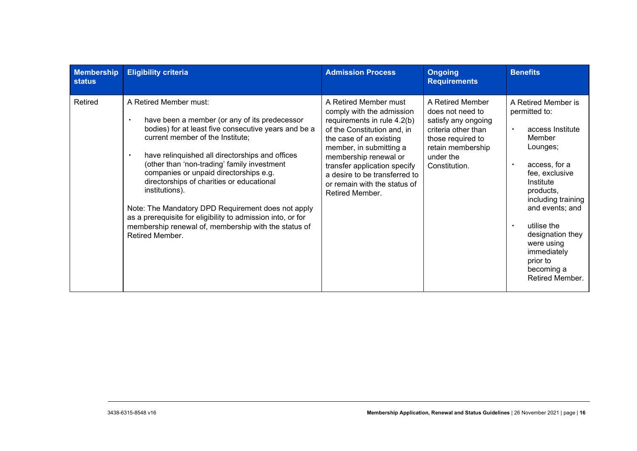| <b>Membership</b><br><b>status</b> | <b>Eligibility criteria</b>                                                                                                                                                                                                                                                                                                                                                                                                                                                                                                                                                    | <b>Admission Process</b>                                                                                                                                                                                                                                                                                            | <b>Ongoing</b><br><b>Requirements</b>                                                                                                                      | <b>Benefits</b>                                                                                                                                                                                                                                                                                                                          |
|------------------------------------|--------------------------------------------------------------------------------------------------------------------------------------------------------------------------------------------------------------------------------------------------------------------------------------------------------------------------------------------------------------------------------------------------------------------------------------------------------------------------------------------------------------------------------------------------------------------------------|---------------------------------------------------------------------------------------------------------------------------------------------------------------------------------------------------------------------------------------------------------------------------------------------------------------------|------------------------------------------------------------------------------------------------------------------------------------------------------------|------------------------------------------------------------------------------------------------------------------------------------------------------------------------------------------------------------------------------------------------------------------------------------------------------------------------------------------|
| Retired                            | A Retired Member must:<br>have been a member (or any of its predecessor<br>bodies) for at least five consecutive years and be a<br>current member of the Institute;<br>have relinquished all directorships and offices<br>(other than 'non-trading' family investment<br>companies or unpaid directorships e.g.<br>directorships of charities or educational<br>institutions).<br>Note: The Mandatory DPD Requirement does not apply<br>as a prerequisite for eligibility to admission into, or for<br>membership renewal of, membership with the status of<br>Retired Member. | A Retired Member must<br>comply with the admission<br>requirements in rule 4.2(b)<br>of the Constitution and, in<br>the case of an existing<br>member, in submitting a<br>membership renewal or<br>transfer application specify<br>a desire to be transferred to<br>or remain with the status of<br>Retired Member. | A Retired Member<br>does not need to<br>satisfy any ongoing<br>criteria other than<br>those required to<br>retain membership<br>under the<br>Constitution. | A Retired Member is<br>permitted to:<br>access Institute<br>$\bullet$<br>Member<br>Lounges;<br>access, for a<br>$\bullet$<br>fee, exclusive<br>Institute<br>products,<br>including training<br>and events; and<br>utilise the<br>$\bullet$<br>designation they<br>were using<br>immediately<br>prior to<br>becoming a<br>Retired Member. |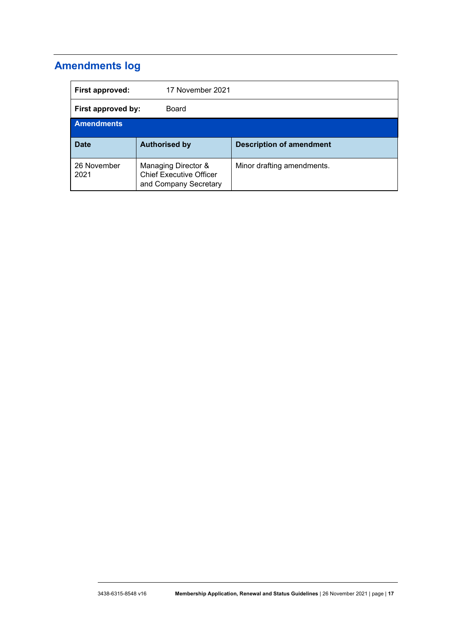# **Amendments log**

| First approved:     | 17 November 2021                                                               |                                 |
|---------------------|--------------------------------------------------------------------------------|---------------------------------|
| First approved by:  | Board                                                                          |                                 |
| <b>Amendments</b>   |                                                                                |                                 |
| <b>Date</b>         | <b>Authorised by</b>                                                           | <b>Description of amendment</b> |
| 26 November<br>2021 | Managing Director &<br><b>Chief Executive Officer</b><br>and Company Secretary | Minor drafting amendments.      |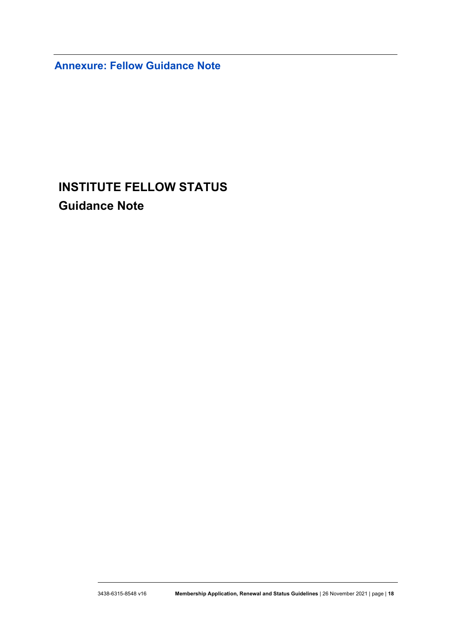**Annexure: Fellow Guidance Note**

# **INSTITUTE FELLOW STATUS Guidance Note**

......................................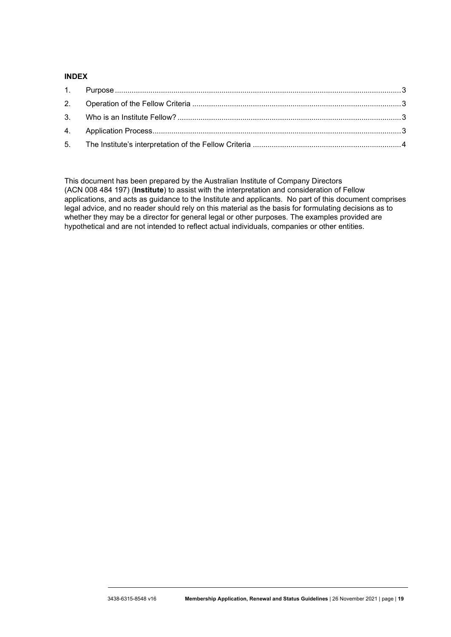#### **INDEX**

This document has been prepared by the Australian Institute of Company Directors (ACN 008 484 197) (**Institute**) to assist with the interpretation and consideration of Fellow applications, and acts as guidance to the Institute and applicants. No part of this document comprises legal advice, and no reader should rely on this material as the basis for formulating decisions as to whether they may be a director for general legal or other purposes. The examples provided are hypothetical and are not intended to reflect actual individuals, companies or other entities.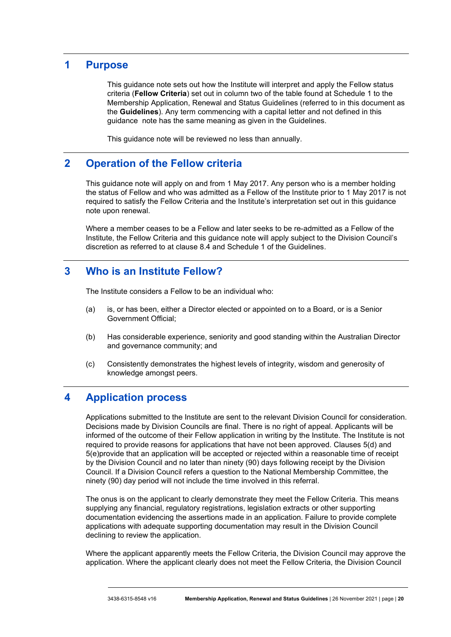## **1 Purpose**

This guidance note sets out how the Institute will interpret and apply the Fellow status criteria (**Fellow Criteria**) set out in column two of the table found at Schedule 1 to the Membership Application, Renewal and Status Guidelines (referred to in this document as the **Guidelines**). Any term commencing with a capital letter and not defined in this guidance note has the same meaning as given in the Guidelines.

This guidance note will be reviewed no less than annually.

## **2 Operation of the Fellow criteria**

This guidance note will apply on and from 1 May 2017. Any person who is a member holding the status of Fellow and who was admitted as a Fellow of the Institute prior to 1 May 2017 is not required to satisfy the Fellow Criteria and the Institute's interpretation set out in this guidance note upon renewal.

Where a member ceases to be a Fellow and later seeks to be re-admitted as a Fellow of the Institute, the Fellow Criteria and this guidance note will apply subject to the Division Council's discretion as referred to at clause 8.4 and Schedule 1 of the Guidelines.

## **3 Who is an Institute Fellow?**

The Institute considers a Fellow to be an individual who:

- (a) is, or has been, either a Director elected or appointed on to a Board, or is a Senior Government Official;
- (b) Has considerable experience, seniority and good standing within the Australian Director and governance community; and
- (c) Consistently demonstrates the highest levels of integrity, wisdom and generosity of knowledge amongst peers.

## **4 Application process**

Applications submitted to the Institute are sent to the relevant Division Council for consideration. Decisions made by Division Councils are final. There is no right of appeal. Applicants will be informed of the outcome of their Fellow application in writing by the Institute. The Institute is not required to provide reasons for applications that have not been approved. Clauses [5\(d\)](#page-3-0) and [5\(e\)p](#page-3-1)rovide that an application will be accepted or rejected within a reasonable time of receipt by the Division Council and no later than ninety (90) days following receipt by the Division Council. If a Division Council refers a question to the National Membership Committee, the ninety (90) day period will not include the time involved in this referral.

The onus is on the applicant to clearly demonstrate they meet the Fellow Criteria. This means supplying any financial, regulatory registrations, legislation extracts or other supporting documentation evidencing the assertions made in an application. Failure to provide complete applications with adequate supporting documentation may result in the Division Council declining to review the application.

Where the applicant apparently meets the Fellow Criteria, the Division Council may approve the application. Where the applicant clearly does not meet the Fellow Criteria, the Division Council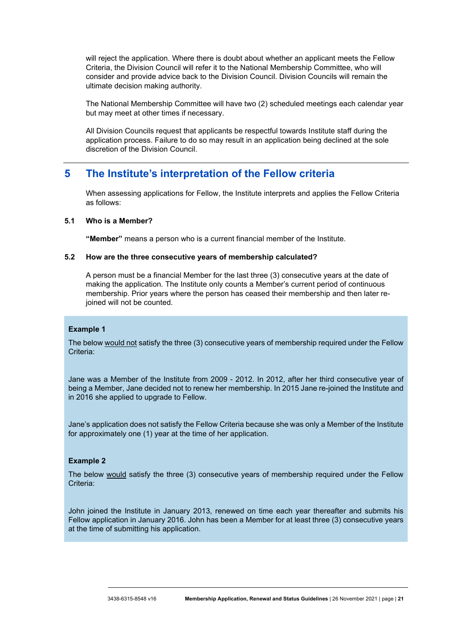will reject the application. Where there is doubt about whether an applicant meets the Fellow Criteria, the Division Council will refer it to the National Membership Committee, who will consider and provide advice back to the Division Council. Division Councils will remain the ultimate decision making authority.

The National Membership Committee will have two (2) scheduled meetings each calendar year but may meet at other times if necessary.

All Division Councils request that applicants be respectful towards Institute staff during the application process. Failure to do so may result in an application being declined at the sole discretion of the Division Council.

## **5 The Institute's interpretation of the Fellow criteria**

When assessing applications for Fellow, the Institute interprets and applies the Fellow Criteria as follows:

#### **5.1 Who is a Member?**

**"Member"** means a person who is a current financial member of the Institute.

#### **5.2 How are the three consecutive years of membership calculated?**

A person must be a financial Member for the last three (3) consecutive years at the date of making the application. The Institute only counts a Member's current period of continuous membership. Prior years where the person has ceased their membership and then later rejoined will not be counted.

#### **Example 1**

The below would not satisfy the three (3) consecutive years of membership required under the Fellow Criteria:

Jane was a Member of the Institute from 2009 - 2012. In 2012, after her third consecutive year of being a Member, Jane decided not to renew her membership. In 2015 Jane re-joined the Institute and in 2016 she applied to upgrade to Fellow.

Jane's application does not satisfy the Fellow Criteria because she was only a Member of the Institute for approximately one (1) year at the time of her application.

#### **Example 2**

The below would satisfy the three (3) consecutive years of membership required under the Fellow Criteria:

John joined the Institute in January 2013, renewed on time each year thereafter and submits his Fellow application in January 2016. John has been a Member for at least three (3) consecutive years at the time of submitting his application.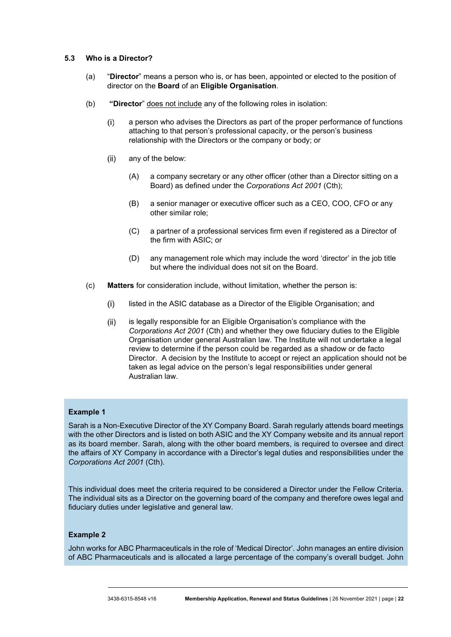#### **5.3 Who is a Director?**

- (a) "**Director**" means a person who is, or has been, appointed or elected to the position of director on the **Board** of an **Eligible Organisation**.
- (b) **"Director**" does not include any of the following roles in isolation:
	- $(i)$ a person who advises the Directors as part of the proper performance of functions attaching to that person's professional capacity, or the person's business relationship with the Directors or the company or body; or
	- $(ii)$ any of the below:
		- (A) a company secretary or any other officer (other than a Director sitting on a Board) as defined under the *Corporations Act 2001* (Cth);
		- (B) a senior manager or executive officer such as a CEO, COO, CFO or any other similar role;
		- (C) a partner of a professional services firm even if registered as a Director of the firm with ASIC; or
		- (D) any management role which may include the word 'director' in the job title but where the individual does not sit on the Board.
- (c) **Matters** for consideration include, without limitation, whether the person is:
	- $(i)$ listed in the ASIC database as a Director of the Eligible Organisation; and
	- $(ii)$ is legally responsible for an Eligible Organisation's compliance with the *Corporations Act 2001* (Cth) and whether they owe fiduciary duties to the Eligible Organisation under general Australian law. The Institute will not undertake a legal review to determine if the person could be regarded as a shadow or de facto Director. A decision by the Institute to accept or reject an application should not be taken as legal advice on the person's legal responsibilities under general Australian law.

#### **Example 1**

Sarah is a Non-Executive Director of the XY Company Board. Sarah regularly attends board meetings with the other Directors and is listed on both ASIC and the XY Company website and its annual report as its board member. Sarah, along with the other board members, is required to oversee and direct the affairs of XY Company in accordance with a Director's legal duties and responsibilities under the *Corporations Act 2001* (Cth).

This individual does meet the criteria required to be considered a Director under the Fellow Criteria. The individual sits as a Director on the governing board of the company and therefore owes legal and fiduciary duties under legislative and general law.

#### **Example 2**

John works for ABC Pharmaceuticals in the role of 'Medical Director'. John manages an entire division of ABC Pharmaceuticals and is allocated a large percentage of the company's overall budget. John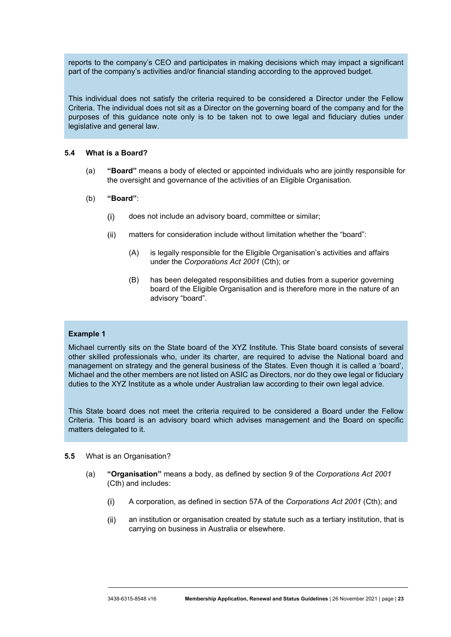reports to the company's CEO and participates in making decisions which may impact a significant part of the company's activities and/or financial standing according to the approved budget.

This individual does not satisfy the criteria required to be considered a Director under the Fellow Criteria. The individual does not sit as a Director on the governing board of the company and for the purposes of this guidance note only is to be taken not to owe legal and fiduciary duties under legislative and general law.

#### **5.4 What is a Board?**

- (a) **"Board"** means a body of elected or appointed individuals who are jointly responsible for the oversight and governance of the activities of an Eligible Organisation.
- (b) **"Board"**:
	- $(i)$ does not include an advisory board, committee or similar;
	- matters for consideration include without limitation whether the "board":  $(ii)$ 
		- (A) is legally responsible for the Eligible Organisation's activities and affairs under the *Corporations Act 2001* (Cth); or
		- (B) has been delegated responsibilities and duties from a superior governing board of the Eligible Organisation and is therefore more in the nature of an advisory "board".

#### **Example 1**

Michael currently sits on the State board of the XYZ Institute. This State board consists of several other skilled professionals who, under its charter, are required to advise the National board and management on strategy and the general business of the States. Even though it is called a 'board', Michael and the other members are not listed on ASIC as Directors, nor do they owe legal or fiduciary duties to the XYZ Institute as a whole under Australian law according to their own legal advice.

This State board does not meet the criteria required to be considered a Board under the Fellow Criteria. This board is an advisory board which advises management and the Board on specific matters delegated to it.

#### **5.5** What is an Organisation?

- (a) **"Organisation"** means a body, as defined by section 9 of the *Corporations Act 2001* (Cth) and includes:
	- A corporation, as defined in section 57A of the *Corporations Act 2001* (Cth); and  $(i)$
	- $(ii)$ an institution or organisation created by statute such as a tertiary institution, that is carrying on business in Australia or elsewhere.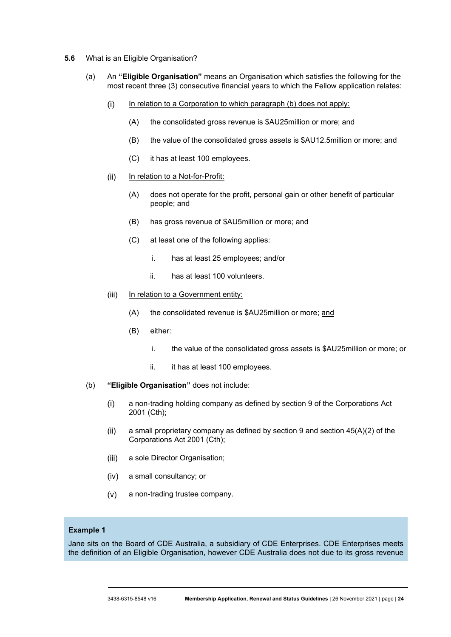- **5.6** What is an Eligible Organisation?
	- (a) An **"Eligible Organisation"** means an Organisation which satisfies the following for the most recent three (3) consecutive financial years to which the Fellow application relates:
		- $(i)$ In relation to a Corporation to which paragraph (b) does not apply:
			- (A) the consolidated gross revenue is \$AU25million or more; and
			- (B) the value of the consolidated gross assets is \$AU12.5million or more; and
			- (C) it has at least 100 employees.
		- $(ii)$ In relation to a Not-for-Profit:
			- (A) does not operate for the profit, personal gain or other benefit of particular people; and
			- (B) has gross revenue of \$AU5million or more; and
			- (C) at least one of the following applies:
				- i. has at least 25 employees; and/or
				- ii. has at least 100 volunteers.
		- In relation to a Government entity:  $(iii)$ 
			- (A) the consolidated revenue is \$AU25million or more; and
			- (B) either:
				- i. the value of the consolidated gross assets is \$AU25million or more; or
				- ii. it has at least 100 employees.
	- (b) **"Eligible Organisation"** does not include:
		- $(i)$ a non-trading holding company as defined by section 9 of the Corporations Act 2001 (Cth);
		- $(ii)$ a small proprietary company as defined by section 9 and section 45(A)(2) of the Corporations Act 2001 (Cth);
		- $(iii)$ a sole Director Organisation;
		- $(iv)$ a small consultancy; or
		- $(v)$ a non-trading trustee company.

#### **Example 1**

Jane sits on the Board of CDE Australia, a subsidiary of CDE Enterprises. CDE Enterprises meets the definition of an Eligible Organisation, however CDE Australia does not due to its gross revenue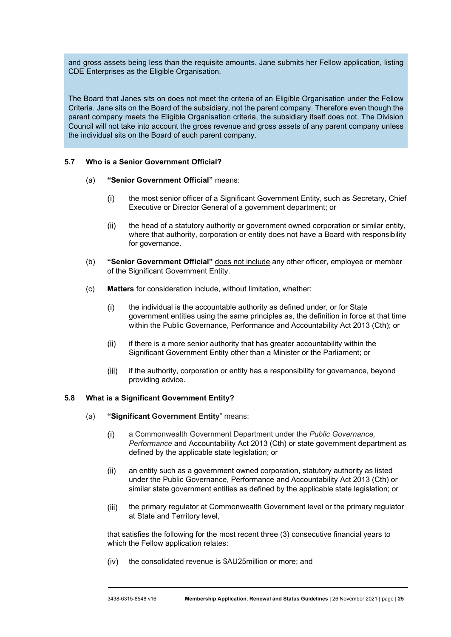and gross assets being less than the requisite amounts. Jane submits her Fellow application, listing CDE Enterprises as the Eligible Organisation.

The Board that Janes sits on does not meet the criteria of an Eligible Organisation under the Fellow Criteria. Jane sits on the Board of the subsidiary, not the parent company. Therefore even though the parent company meets the Eligible Organisation criteria, the subsidiary itself does not. The Division Council will not take into account the gross revenue and gross assets of any parent company unless the individual sits on the Board of such parent company.

#### **5.7 Who is a Senior Government Official?**

- (a) **"Senior Government Official"** means:
	- the most senior officer of a Significant Government Entity, such as Secretary, Chief  $(i)$ Executive or Director General of a government department; or
	- the head of a statutory authority or government owned corporation or similar entity,  $(ii)$ where that authority, corporation or entity does not have a Board with responsibility for governance.
- (b) **"Senior Government Official"** does not include any other officer, employee or member of the Significant Government Entity.
- (c) **Matters** for consideration include, without limitation, whether:
	- the individual is the accountable authority as defined under, or for State  $(i)$ government entities using the same principles as, the definition in force at that time within the Public Governance, Performance and Accountability Act 2013 (Cth); or
	- if there is a more senior authority that has greater accountability within the  $(ii)$ Significant Government Entity other than a Minister or the Parliament; or
	- if the authority, corporation or entity has a responsibility for governance, beyond  $(iii)$ providing advice.

#### **5.8 What is a Significant Government Entity?**

- (a) **"Significant Government Entity**" means:
	- a Commonwealth Government Department under the *Public Governance,*   $(i)$ *Performance* and Accountability Act 2013 (Cth) or state government department as defined by the applicable state legislation; or
	- $(ii)$ an entity such as a government owned corporation, statutory authority as listed under the Public Governance, Performance and Accountability Act 2013 (Cth) or similar state government entities as defined by the applicable state legislation; or
	- $(iii)$ the primary regulator at Commonwealth Government level or the primary regulator at State and Territory level,

that satisfies the following for the most recent three (3) consecutive financial years to which the Fellow application relates:

 $(iv)$ the consolidated revenue is \$AU25million or more; and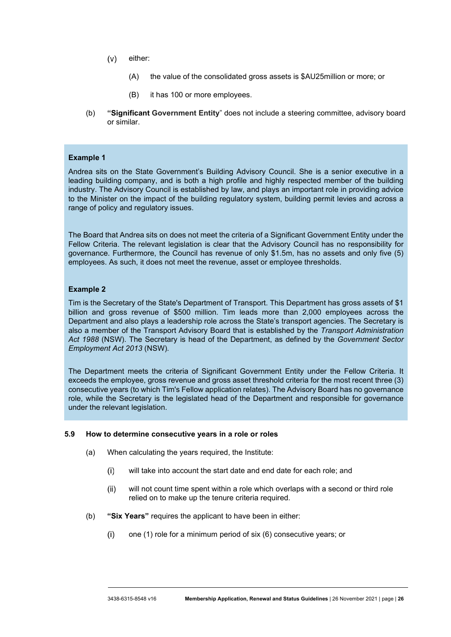- $(v)$ either:
	- (A) the value of the consolidated gross assets is \$AU25million or more; or
	- (B) it has 100 or more employees.
- (b) **"Significant Government Entity**" does not include a steering committee, advisory board or similar.

#### **Example 1**

Andrea sits on the State Government's Building Advisory Council. She is a senior executive in a leading building company, and is both a high profile and highly respected member of the building industry. The Advisory Council is established by law, and plays an important role in providing advice to the Minister on the impact of the building regulatory system, building permit levies and across a range of policy and regulatory issues.

The Board that Andrea sits on does not meet the criteria of a Significant Government Entity under the Fellow Criteria. The relevant legislation is clear that the Advisory Council has no responsibility for governance. Furthermore, the Council has revenue of only \$1.5m, has no assets and only five (5) employees. As such, it does not meet the revenue, asset or employee thresholds.

#### **Example 2**

Tim is the Secretary of the State's Department of Transport. This Department has gross assets of \$1 billion and gross revenue of \$500 million. Tim leads more than 2,000 employees across the Department and also plays a leadership role across the State's transport agencies. The Secretary is also a member of the Transport Advisory Board that is established by the *Transport Administration Act 1988* (NSW). The Secretary is head of the Department, as defined by the *Government Sector Employment Act 2013* (NSW)*.*

The Department meets the criteria of Significant Government Entity under the Fellow Criteria. It exceeds the employee, gross revenue and gross asset threshold criteria for the most recent three (3) consecutive years (to which Tim's Fellow application relates). The Advisory Board has no governance role, while the Secretary is the legislated head of the Department and responsible for governance under the relevant legislation.

#### **5.9 How to determine consecutive years in a role or roles**

- (a) When calculating the years required, the Institute:
	- $(i)$ will take into account the start date and end date for each role; and
	- will not count time spent within a role which overlaps with a second or third role  $(ii)$ relied on to make up the tenure criteria required.
- (b) **"Six Years"** requires the applicant to have been in either:
	- $(i)$ one (1) role for a minimum period of six (6) consecutive years; or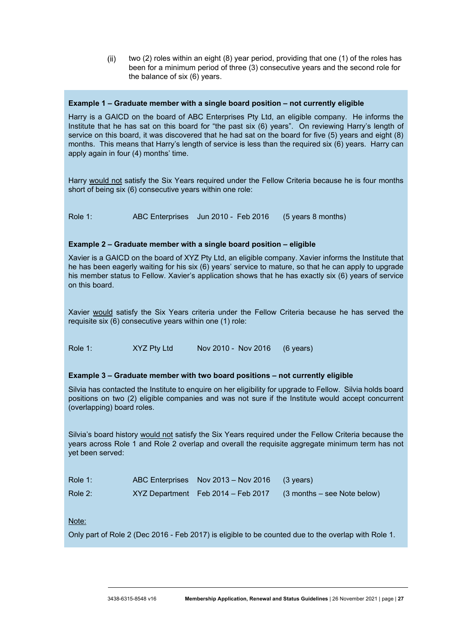two (2) roles within an eight (8) year period, providing that one (1) of the roles has  $(ii)$ been for a minimum period of three (3) consecutive years and the second role for the balance of six (6) years.

#### **Example 1 – Graduate member with a single board position – not currently eligible**

Harry is a GAICD on the board of ABC Enterprises Pty Ltd, an eligible company. He informs the Institute that he has sat on this board for "the past six (6) years". On reviewing Harry's length of service on this board, it was discovered that he had sat on the board for five (5) years and eight (8) months. This means that Harry's length of service is less than the required six (6) years. Harry can apply again in four (4) months' time.

Harry would not satisfy the Six Years required under the Fellow Criteria because he is four months short of being six (6) consecutive years within one role:

Role 1: ABC Enterprises Jun 2010 - Feb 2016 (5 years 8 months)

#### **Example 2 – Graduate member with a single board position – eligible**

Xavier is a GAICD on the board of XYZ Pty Ltd, an eligible company. Xavier informs the Institute that he has been eagerly waiting for his six (6) years' service to mature, so that he can apply to upgrade his member status to Fellow. Xavier's application shows that he has exactly six (6) years of service on this board.

Xavier would satisfy the Six Years criteria under the Fellow Criteria because he has served the requisite six (6) consecutive years within one (1) role:

Role 1: XYZ Pty Ltd Nov 2010 - Nov 2016 (6 years)

#### **Example 3 – Graduate member with two board positions – not currently eligible**

Silvia has contacted the Institute to enquire on her eligibility for upgrade to Fellow. Silvia holds board positions on two (2) eligible companies and was not sure if the Institute would accept concurrent (overlapping) board roles.

Silvia's board history would not satisfy the Six Years required under the Fellow Criteria because the years across Role 1 and Role 2 overlap and overall the requisite aggregate minimum term has not yet been served:

| Role $1$ : | ABC Enterprises Nov 2013 – Nov 2016 (3 years) |                                                                |
|------------|-----------------------------------------------|----------------------------------------------------------------|
| Role $2$ : |                                               | XYZ Department Feb 2014 - Feb 2017 (3 months - see Note below) |

Note:

Only part of Role 2 (Dec 2016 - Feb 2017) is eligible to be counted due to the overlap with Role 1.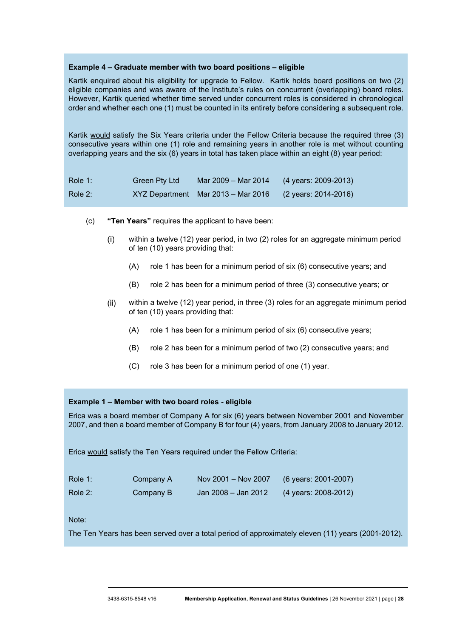#### **Example 4 – Graduate member with two board positions – eligible**

Kartik enquired about his eligibility for upgrade to Fellow. Kartik holds board positions on two (2) eligible companies and was aware of the Institute's rules on concurrent (overlapping) board roles. However, Kartik queried whether time served under concurrent roles is considered in chronological order and whether each one (1) must be counted in its entirety before considering a subsequent role.

Kartik would satisfy the Six Years criteria under the Fellow Criteria because the required three (3) consecutive years within one (1) role and remaining years in another role is met without counting overlapping years and the six (6) years in total has taken place within an eight (8) year period:

| Role 1:    | Green Pty Ltd | Mar 2009 – Mar 2014                | $(4 \text{ years}: 2009-2013)$ |
|------------|---------------|------------------------------------|--------------------------------|
| Role $2$ : |               | XYZ Department Mar 2013 – Mar 2016 | (2 years: 2014-2016)           |

- (c) **"Ten Years"** requires the applicant to have been:
	- within a twelve (12) year period, in two (2) roles for an aggregate minimum period  $(i)$ of ten (10) years providing that:
		- (A) role 1 has been for a minimum period of six (6) consecutive years; and
		- (B) role 2 has been for a minimum period of three (3) consecutive years; or
	- $(ii)$ within a twelve (12) year period, in three (3) roles for an aggregate minimum period of ten (10) years providing that:
		- (A) role 1 has been for a minimum period of six (6) consecutive years;
		- (B) role 2 has been for a minimum period of two (2) consecutive years; and
		- (C) role 3 has been for a minimum period of one (1) year.

#### **Example 1 – Member with two board roles - eligible**

Erica was a board member of Company A for six (6) years between November 2001 and November 2007, and then a board member of Company B for four (4) years, from January 2008 to January 2012.

Erica would satisfy the Ten Years required under the Fellow Criteria:

| Role 1: | Company A | Nov 2001 – Nov 2007              | (6 years: 2001-2007) |
|---------|-----------|----------------------------------|----------------------|
| Role 2: | Company B | Jan 2008 – Jan 2012 <sup>'</sup> | (4 years: 2008-2012) |

Note:

The Ten Years has been served over a total period of approximately eleven (11) years (2001-2012).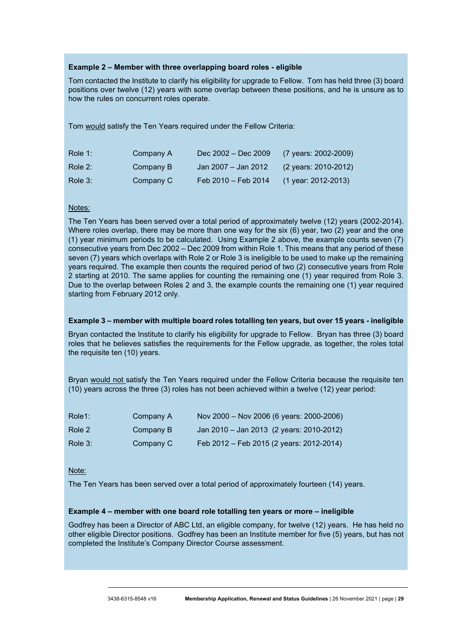#### **Example 2 – Member with three overlapping board roles - eligible**

Tom contacted the Institute to clarify his eligibility for upgrade to Fellow. Tom has held three (3) board positions over twelve (12) years with some overlap between these positions, and he is unsure as to how the rules on concurrent roles operate.

Tom would satisfy the Ten Years required under the Fellow Criteria:

| Role 1: | Company A | Dec 2002 - Dec 2009 | (7 years: 2002-2009)           |
|---------|-----------|---------------------|--------------------------------|
| Role 2: | Company B | Jan 2007 - Jan 2012 | $(2 \text{ years}: 2010-2012)$ |
| Role 3: | Company C | Feb 2010 - Feb 2014 | $(1$ year: 2012-2013)          |

#### Notes:

The Ten Years has been served over a total period of approximately twelve (12) years (2002-2014). Where roles overlap, there may be more than one way for the six (6) year, two (2) year and the one (1) year minimum periods to be calculated. Using Example 2 above, the example counts seven (7) consecutive years from Dec 2002 – Dec 2009 from within Role 1. This means that any period of these seven (7) years which overlaps with Role 2 or Role 3 is ineligible to be used to make up the remaining years required. The example then counts the required period of two (2) consecutive years from Role 2 starting at 2010. The same applies for counting the remaining one (1) year required from Role 3. Due to the overlap between Roles 2 and 3, the example counts the remaining one (1) year required starting from February 2012 only.

#### **Example 3 – member with multiple board roles totalling ten years, but over 15 years - ineligible**

Bryan contacted the Institute to clarify his eligibility for upgrade to Fellow. Bryan has three (3) board roles that he believes satisfies the requirements for the Fellow upgrade, as together, the roles total the requisite ten (10) years.

Bryan would not satisfy the Ten Years required under the Fellow Criteria because the requisite ten (10) years across the three (3) roles has not been achieved within a twelve (12) year period:

| Role1:  | Company A | Nov 2000 - Nov 2006 (6 years: 2000-2006) |
|---------|-----------|------------------------------------------|
| Role 2  | Company B | Jan 2010 - Jan 2013 (2 years: 2010-2012) |
| Role 3: | Company C | Feb 2012 - Feb 2015 (2 years: 2012-2014) |

Note:

The Ten Years has been served over a total period of approximately fourteen (14) years.

#### **Example 4 – member with one board role totalling ten years or more – ineligible**

Godfrey has been a Director of ABC Ltd, an eligible company, for twelve (12) years. He has held no other eligible Director positions. Godfrey has been an Institute member for five (5) years, but has not completed the Institute's Company Director Course assessment.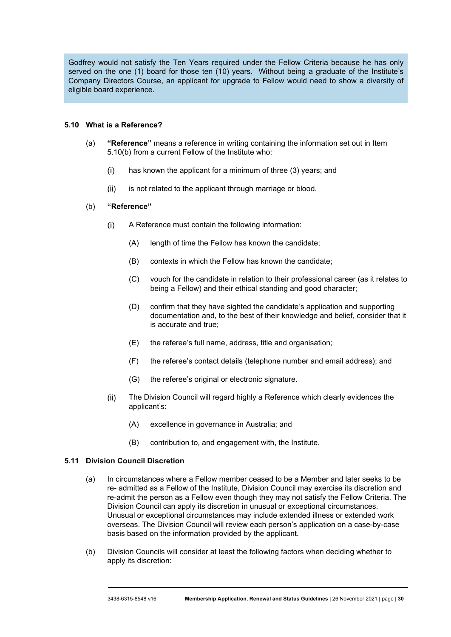Godfrey would not satisfy the Ten Years required under the Fellow Criteria because he has only served on the one (1) board for those ten (10) years. Without being a graduate of the Institute's Company Directors Course, an applicant for upgrade to Fellow would need to show a diversity of eligible board experience.

#### <span id="page-30-0"></span>**5.10 What is a Reference?**

- (a) **"Reference"** means a reference in writing containing the information set out in Item [5.10](#page-30-0)[\(b\)](#page-30-1) from a current Fellow of the Institute who:
	- $(i)$ has known the applicant for a minimum of three (3) years; and
	- is not related to the applicant through marriage or blood.  $(ii)$

#### (b) **"Reference"**

- <span id="page-30-1"></span> $(i)$ A Reference must contain the following information:
	- (A) length of time the Fellow has known the candidate;
	- (B) contexts in which the Fellow has known the candidate;
	- (C) vouch for the candidate in relation to their professional career (as it relates to being a Fellow) and their ethical standing and good character;
	- (D) confirm that they have sighted the candidate's application and supporting documentation and, to the best of their knowledge and belief, consider that it is accurate and true;
	- (E) the referee's full name, address, title and organisation;
	- (F) the referee's contact details (telephone number and email address); and
	- (G) the referee's original or electronic signature.
- The Division Council will regard highly a Reference which clearly evidences the  $(ii)$ applicant's:
	- (A) excellence in governance in Australia; and
	- (B) contribution to, and engagement with, the Institute.

#### **5.11 Division Council Discretion**

- (a) In circumstances where a Fellow member ceased to be a Member and later seeks to be re- admitted as a Fellow of the Institute, Division Council may exercise its discretion and re-admit the person as a Fellow even though they may not satisfy the Fellow Criteria. The Division Council can apply its discretion in unusual or exceptional circumstances. Unusual or exceptional circumstances may include extended illness or extended work overseas. The Division Council will review each person's application on a case-by-case basis based on the information provided by the applicant.
- (b) Division Councils will consider at least the following factors when deciding whether to apply its discretion: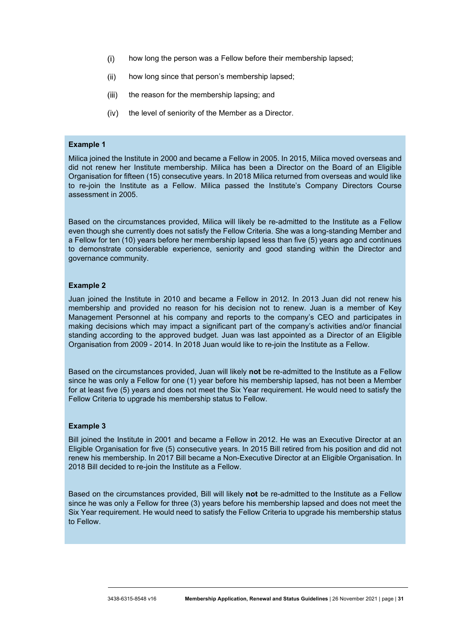- $(i)$ how long the person was a Fellow before their membership lapsed;
- $(ii)$ how long since that person's membership lapsed;
- $(iii)$ the reason for the membership lapsing; and
- $(iv)$  the level of seniority of the Member as a Director.

#### **Example 1**

Milica joined the Institute in 2000 and became a Fellow in 2005. In 2015, Milica moved overseas and did not renew her Institute membership. Milica has been a Director on the Board of an Eligible Organisation for fifteen (15) consecutive years. In 2018 Milica returned from overseas and would like to re-join the Institute as a Fellow. Milica passed the Institute's Company Directors Course assessment in 2005.

Based on the circumstances provided, Milica will likely be re-admitted to the Institute as a Fellow even though she currently does not satisfy the Fellow Criteria. She was a long-standing Member and a Fellow for ten (10) years before her membership lapsed less than five (5) years ago and continues to demonstrate considerable experience, seniority and good standing within the Director and governance community.

#### **Example 2**

Juan joined the Institute in 2010 and became a Fellow in 2012. In 2013 Juan did not renew his membership and provided no reason for his decision not to renew. Juan is a member of Key Management Personnel at his company and reports to the company's CEO and participates in making decisions which may impact a significant part of the company's activities and/or financial standing according to the approved budget. Juan was last appointed as a Director of an Eligible Organisation from 2009 - 2014. In 2018 Juan would like to re-join the Institute as a Fellow.

Based on the circumstances provided, Juan will likely **not** be re-admitted to the Institute as a Fellow since he was only a Fellow for one (1) year before his membership lapsed, has not been a Member for at least five (5) years and does not meet the Six Year requirement. He would need to satisfy the Fellow Criteria to upgrade his membership status to Fellow.

#### **Example 3**

Bill joined the Institute in 2001 and became a Fellow in 2012. He was an Executive Director at an Eligible Organisation for five (5) consecutive years. In 2015 Bill retired from his position and did not renew his membership. In 2017 Bill became a Non-Executive Director at an Eligible Organisation. In 2018 Bill decided to re-join the Institute as a Fellow.

Based on the circumstances provided, Bill will likely **not** be re-admitted to the Institute as a Fellow since he was only a Fellow for three (3) years before his membership lapsed and does not meet the Six Year requirement. He would need to satisfy the Fellow Criteria to upgrade his membership status to Fellow.